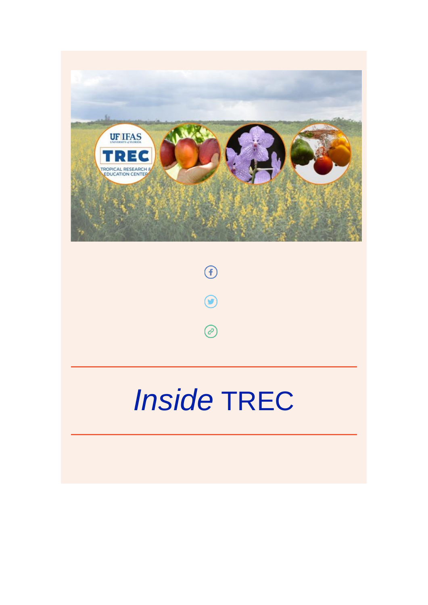



# *Inside* TREC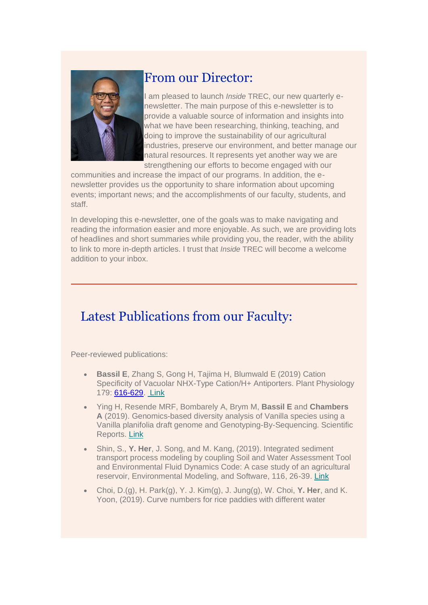

#### From our Director:

I am pleased to launch *Inside* TREC, our new quarterly enewsletter. The main purpose of this e-newsletter is to provide a valuable source of information and insights into what we have been researching, thinking, teaching, and doing to improve the sustainability of our agricultural industries, preserve our environment, and better manage our natural resources. It represents yet another way we are strengthening our efforts to become engaged with our

communities and increase the impact of our programs. In addition, the enewsletter provides us the opportunity to share information about upcoming events; important news; and the accomplishments of our faculty, students, and staff.

In developing this e-newsletter, one of the goals was to make navigating and reading the information easier and more enjoyable. As such, we are providing lots of headlines and short summaries while providing you, the reader, with the ability to link to more in-depth articles. I trust that *Inside* TREC will become a welcome addition to your inbox.

## Latest Publications from our Faculty:

Peer-reviewed publications:

- **Bassil E**, Zhang S, Gong H, Tajima H, Blumwald E (2019) Cation Specificity of Vacuolar NHX-Type Cation/H+ Antiporters. Plant Physiology 179: [616-629.](tel:616-629) [Link](https://urldefense.proofpoint.com/v2/url?u=http-3A__www.plantphysiol.org_content_179_2_616&d=DwMFaQ&c=sJ6xIWYx-zLMB3EPkvcnVg&r=Q74cU8AdCBxFqyeVb-WjVw&m=4PPVZyoEgkigH-k4Nxe-JyzcJwd5o2Ov9JeEKzOy3DU&s=YV6oemyx1f5nOrN9WUcSpGEMrun0Y0cg4JSDy5uGkm8&e=)
- Ying H, Resende MRF, Bombarely A, Brym M, **Bassil E** and **Chambers A** (2019). Genomics-based diversity analysis of Vanilla species using a Vanilla planifolia draft genome and Genotyping-By-Sequencing. Scientific Reports. [Link](https://urldefense.proofpoint.com/v2/url?u=https-3A__www.nature.com_articles_s41598-2D019-2D40144-2D1&d=DwMFaQ&c=sJ6xIWYx-zLMB3EPkvcnVg&r=Q74cU8AdCBxFqyeVb-WjVw&m=4PPVZyoEgkigH-k4Nxe-JyzcJwd5o2Ov9JeEKzOy3DU&s=qRrBVBNks93DhKrKhLlFbOwzGsm3BUQLj3ySrh1h_fs&e=)
- Shin, S., **Y. Her**, J. Song, and M. Kang, (2019). Integrated sediment transport process modeling by coupling Soil and Water Assessment Tool and Environmental Fluid Dynamics Code: A case study of an agricultural reservoir, Environmental Modeling, and Software, 116, 26-39. [Link](https://urldefense.proofpoint.com/v2/url?u=https-3A__www.sciencedirect.com_science_article_pii_S1364815218309708-3Fvia-253Dihub&d=DwMFaQ&c=sJ6xIWYx-zLMB3EPkvcnVg&r=Q74cU8AdCBxFqyeVb-WjVw&m=4PPVZyoEgkigH-k4Nxe-JyzcJwd5o2Ov9JeEKzOy3DU&s=EoxLdssr94pdQmhwtRVch99wgYvlOcHvMQlpH_dqrls&e=)
- Choi, D.(g), H. Park(g), Y. J. Kim(g), J. Jung(g), W. Choi, **Y. Her**, and K. Yoon, (2019). Curve numbers for rice paddies with different water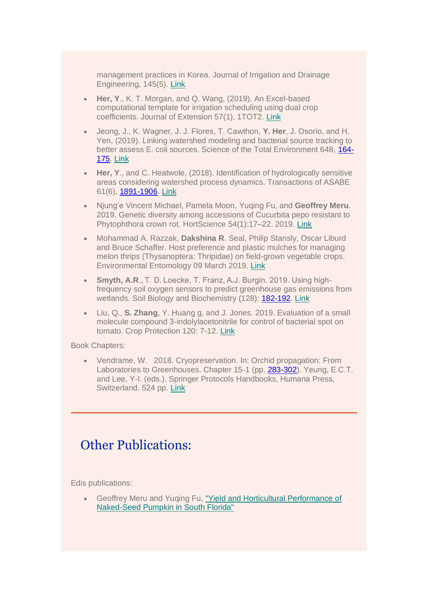management practices in Korea. Journal of Irrigation and Drainage Engineering, 145(5). [Link](https://urldefense.proofpoint.com/v2/url?u=https-3A__ascelibrary.org_doi_full_10.1061_-2528ASCE-2529IR.1943-2D4774.0001382&d=DwMFaQ&c=sJ6xIWYx-zLMB3EPkvcnVg&r=Q74cU8AdCBxFqyeVb-WjVw&m=4PPVZyoEgkigH-k4Nxe-JyzcJwd5o2Ov9JeEKzOy3DU&s=kmO2zEAIva7EYqMo-zH8Eb_OwmAVBiuE77LiN1IGnn8&e=)

- **Her, Y**., K. T. Morgan, and Q. Wang, (2019). An Excel-based computational template for irrigation scheduling using dual crop coefficients. Journal of Extension 57(1), 1TOT2. [Link](https://urldefense.proofpoint.com/v2/url?u=https-3A__joe.org_joe_2019february_tt2.php&d=DwMFaQ&c=sJ6xIWYx-zLMB3EPkvcnVg&r=Q74cU8AdCBxFqyeVb-WjVw&m=4PPVZyoEgkigH-k4Nxe-JyzcJwd5o2Ov9JeEKzOy3DU&s=Xg4K0MGZV8kpeedyJYLLb4mdgGrB6SVwxwQVF-FvDfA&e=)
- Jeong, J., K. Wagner, J. J. Flores, T. Cawthon, **Y. Her**, J. Osorio, and H. Yen, (2019). Linking watershed modeling and bacterial source tracking to better assess E. coli sources. Science of the Total Environment 648, [164-](tel:164-175) [175.](tel:164-175) [Link](https://urldefense.proofpoint.com/v2/url?u=https-3A__www.sciencedirect.com_science_article_pii_S0048969718330602-3Fvia-253Dihub&d=DwMFaQ&c=sJ6xIWYx-zLMB3EPkvcnVg&r=Q74cU8AdCBxFqyeVb-WjVw&m=4PPVZyoEgkigH-k4Nxe-JyzcJwd5o2Ov9JeEKzOy3DU&s=o53PMv7QJBvQr1GDLAE1du7n5OQRMrTxD0ZleYC0KdE&e=)
- **Her, Y**., and C. Heatwole, (2018). Identification of hydrologically sensitive areas considering watershed process dynamics. Transactions of ASABE 61(6), [1891-1906.](tel:1891-1906) [Link](https://urldefense.proofpoint.com/v2/url?u=https-3A__elibrary.asabe.org_abstract.asp-3Faid-3D49908-26t-3D3-26dabs-3DY-26redir-3D-26redirType-3D&d=DwMFaQ&c=sJ6xIWYx-zLMB3EPkvcnVg&r=Q74cU8AdCBxFqyeVb-WjVw&m=4PPVZyoEgkigH-k4Nxe-JyzcJwd5o2Ov9JeEKzOy3DU&s=qgEuIpkDlSCkXNvZjEYHSRg6YUtkI7kHTFLhPafFZsY&e=)
- Njung'e Vincent Michael, Pamela Moon, Yuqing Fu, and **Geoffrey Meru**. 2019. Genetic diversity among accessions of Cucurbita pepo resistant to Phytophthora crown rot. HortScience 54(1):17–22. 2019. [Link](https://urldefense.proofpoint.com/v2/url?u=https-3A__journals.ashs.org_hortsci_abstract_journals_hortsci_54_1_article-2Dp17.xml&d=DwMFaQ&c=sJ6xIWYx-zLMB3EPkvcnVg&r=Q74cU8AdCBxFqyeVb-WjVw&m=4PPVZyoEgkigH-k4Nxe-JyzcJwd5o2Ov9JeEKzOy3DU&s=qlo0bnrSfvQsicDC9g5t5bfAnxi8zXB91Louo4kQ56k&e=)
- Mohammad A. Razzak, **Dakshina R**. Seal, Philip Stansly, Oscar Liburd and Bruce Schaffer. Host preference and plastic mulches for managing melon thrips (Thysanoptera: Thripidae) on field-grown vegetable crops. Environmental Entomology 09 March 2019. [Link](https://urldefense.proofpoint.com/v2/url?u=https-3A__academic.oup.com_ee_advance-2Darticle_doi_10.1093_ee_nvz010_5372558&d=DwMFaQ&c=sJ6xIWYx-zLMB3EPkvcnVg&r=Q74cU8AdCBxFqyeVb-WjVw&m=4PPVZyoEgkigH-k4Nxe-JyzcJwd5o2Ov9JeEKzOy3DU&s=WMGCq2417lCw4fr7Srn8ZD1IKIfev2PmRoUCSek-am8&e=)
- **Smyth, A.R**., T. D. Loecke, T. Franz, A.J. Burgin. 2019. Using highfrequency soil oxygen sensors to predict greenhouse gas emissions from wetlands. Soil Biology and Biochemistry (128): [182-192.](tel:182-192) [Link](https://urldefense.proofpoint.com/v2/url?u=https-3A__www.sciencedirect.com_science_article_pii_S0038071718303742&d=DwMFaQ&c=sJ6xIWYx-zLMB3EPkvcnVg&r=Q74cU8AdCBxFqyeVb-WjVw&m=4PPVZyoEgkigH-k4Nxe-JyzcJwd5o2Ov9JeEKzOy3DU&s=rJzZoe3YseqfwUOtCBhsky4sJpkyeoRWsZ8OxkDLYz8&e=)
- Liu, Q., **S. Zhang**, Y. Huang g, and J. Jones. 2019. Evaluation of a small molecule compound 3-indolylacetonitrile for control of bacterial spot on tomato. Crop Protection 120: 7-12. [Link](https://urldefense.proofpoint.com/v2/url?u=https-3A__www.sciencedirect.com_science_article_pii_S0261219419300444&d=DwMFaQ&c=sJ6xIWYx-zLMB3EPkvcnVg&r=Q74cU8AdCBxFqyeVb-WjVw&m=4PPVZyoEgkigH-k4Nxe-JyzcJwd5o2Ov9JeEKzOy3DU&s=za93RoBFQ_h5D2FLnhXg6bIOKnH1agh3AWn6R0-pxCg&e=)

Book Chapters:

• Vendrame, W. 2018. Cryopreservation. In: Orchid propagation: From Laboratories to Greenhouses. Chapter 15-1 (pp. [283-302\)](tel:283-302). Yeung, E.C.T. and Lee, Y-I. (eds.), Springer Protocols Handbooks, Humana Press, Switzerland. 524 pp. [Link](https://urldefense.proofpoint.com/v2/url?u=https-3A__www.springer.com_gp_book_9781493977703&d=DwMFaQ&c=sJ6xIWYx-zLMB3EPkvcnVg&r=Q74cU8AdCBxFqyeVb-WjVw&m=4PPVZyoEgkigH-k4Nxe-JyzcJwd5o2Ov9JeEKzOy3DU&s=6lCGKOno9bUBd-vW10VJZ8kAk8aCuS1TPdXLCpUoOFs&e=)

#### Other Publications:

Edis publications:

• Geoffrey Meru and Yuqing Fu, ["Yield and Horticultural Performance of](https://edis.ifas.ufl.edu/hs1323%C2%A0)  [Naked-Seed Pumpkin in South Florida"](https://edis.ifas.ufl.edu/hs1323%C2%A0)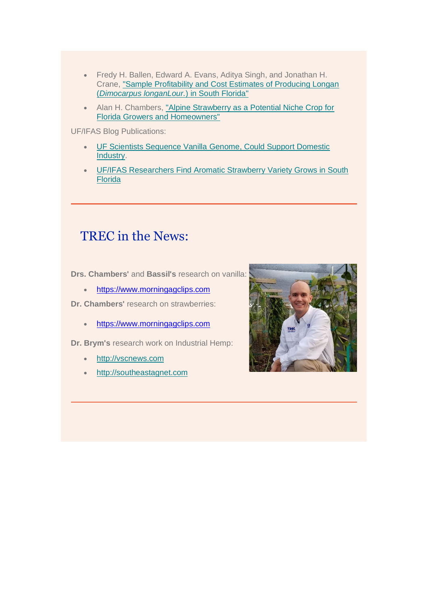- Fredy H. Ballen, Edward A. Evans, Aditya Singh, and Jonathan H. Crane, ["Sample Profitability and Cost Estimates of Producing Longan](http://edis.ifas.ufl.edu/fe1049)  (*[Dimocarpus longanLour.](http://edis.ifas.ufl.edu/fe1049)*) in South Florida"
- Alan H. Chambers, ["Alpine Strawberry as a Potential Niche Crop for](http://edis.ifas.ufl.edu/hs1326) [Florida Growers and Homeowners"](http://edis.ifas.ufl.edu/hs1326)

UF/IFAS Blog Publications:

- [UF Scientists Sequence Vanilla](http://blogs.ifas.ufl.edu/news/2019/03/05/uf-scientists-sequence-vanilla-genome-could-support-domestic-industry/) [Genome,](http://blogs.ifas.ufl.edu/news/2019/03/05/uf-scientists-sequence-vanilla-genome-could-support-domestic-industry/) [Could Support Domestic](http://blogs.ifas.ufl.edu/news/2019/03/05/uf-scientists-sequence-vanilla-genome-could-support-domestic-industry/)  [Industry.](http://blogs.ifas.ufl.edu/news/2019/03/05/uf-scientists-sequence-vanilla-genome-could-support-domestic-industry/)
- [UF/IFAS Researchers Find Aromatic Strawberry Variety Grows in South](http://blogs.ifas.ufl.edu/news/2019/02/20/uf-ifas-researchers-find-aromatic-strawberry-variety-grows-in-south-florida/)  [Florida](http://blogs.ifas.ufl.edu/news/2019/02/20/uf-ifas-researchers-find-aromatic-strawberry-variety-grows-in-south-florida/)

#### TREC in the News:

**Drs. Chambers'** and **Bassil's** research on vanilla:

- [https://www.morningagclips.com](https://www.morningagclips.com/)
- **Dr. Chambers'** research on strawberries:
	- [https://www.morningagclips.com](https://www.morningagclips.com/)

**Dr. Brym's** research work on Industrial Hemp:

- [http://vscnews.com](https://urldefense.proofpoint.com/v2/url?u=http-3A__vscnews.com_uf-2Dprogram-2Dprobing-2Dhemp-2Dproduction_&d=DwMFaQ&c=sJ6xIWYx-zLMB3EPkvcnVg&r=Q74cU8AdCBxFqyeVb-WjVw&m=4PPVZyoEgkigH-k4Nxe-JyzcJwd5o2Ov9JeEKzOy3DU&s=bl2PaenJEfzlFpu1XxvCmv1K8HzqFvBqc-X5z3365XM&e=)
- [http://southeastagnet.com](https://urldefense.proofpoint.com/v2/url?u=http-3A__southeastagnet.com_2019_02_06_industrial-2Dhemp-2Duf-2Difas-2Dag-2Dpolicy-2Dconference&d=DwMFaQ&c=sJ6xIWYx-zLMB3EPkvcnVg&r=Q74cU8AdCBxFqyeVb-WjVw&m=4PPVZyoEgkigH-k4Nxe-JyzcJwd5o2Ov9JeEKzOy3DU&s=VoPqGQrQ7BTpC3GqQwdcYwEPxMOyoiWcEs0xFkflnZo&e=)

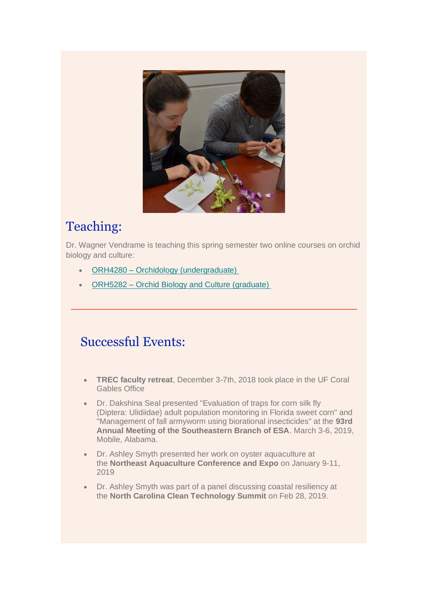

# Teaching:

Dr. Wagner Vendrame is teaching this spring semester two online courses on orchid biology and culture:

- ORH4280 Orchidology [\(undergraduate\)](https://trec.ifas.ufl.edu/teaching/orchidology-undergraduate-orh4280/)
- ORH5282 [Orchid Biology and Culture \(graduate\)](https://trec.ifas.ufl.edu/teaching/orchid-biology-and-culture-graduate-orh5282/)

#### Successful Events:

- **TREC faculty retreat**, December 3-7th, 2018 took place in the UF Coral Gables Office
- Dr. Dakshina Seal presented "Evaluation of traps for corn silk fly (Diptera: Ulidiidae) adult population monitoring in Florida sweet corn" and "Management of fall armyworm using biorational insecticides" at the **93rd Annual Meeting of the Southeastern Branch of ESA**. March 3-6, 2019, Mobile, Alabama.
- Dr. Ashley Smyth presented her work on oyster aquaculture at the **Northeast Aquaculture Conference and Expo** on January 9-11, 2019
- Dr. Ashley Smyth was part of a panel discussing coastal resiliency at the **North Carolina Clean Technology Summit** on Feb 28, 2019.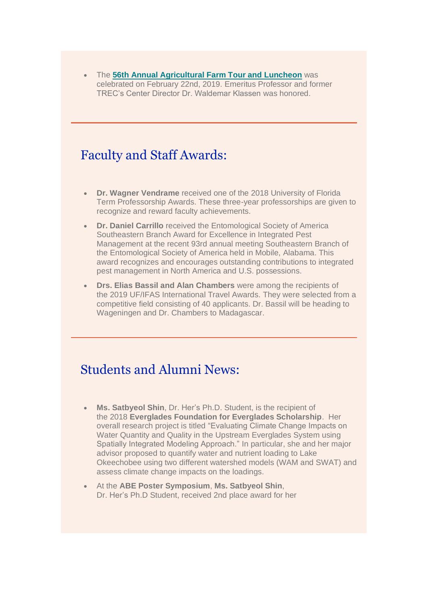• The **[56th Annual Agricultural Farm Tour and](http://blogs.ifas.ufl.edu/trec/2019/02/27/uf-trec-recognitions-at-the-56th-annual-ag-tour-and-luncheon/) Luncheon** was celebrated on February 22nd, 2019. Emeritus Professor and former TREC's Center Director Dr. Waldemar Klassen was honored.

#### Faculty and Staff Awards:

- **Dr. Wagner Vendrame** received one of the 2018 University of Florida Term Professorship Awards. These three-year professorships are given to recognize and reward faculty achievements.
- **Dr. Daniel Carrillo** received the Entomological Society of America Southeastern Branch Award for Excellence in Integrated Pest Management at the recent 93rd annual meeting Southeastern Branch of the Entomological Society of America held in Mobile, Alabama. This award recognizes and encourages outstanding contributions to integrated pest management in North America and U.S. possessions.
- **Drs. Elias Bassil and Alan Chambers** were among the recipients of the 2019 UF/IFAS International Travel Awards. They were selected from a competitive field consisting of 40 applicants. Dr. Bassil will be heading to Wageningen and Dr. Chambers to Madagascar.

## Students and Alumni News:

- **Ms. Satbyeol Shin**, Dr. Her's Ph.D. Student, is the recipient of the 2018 **Everglades Foundation for Everglades Scholarship**. Her overall research project is titled "Evaluating Climate Change Impacts on Water Quantity and Quality in the Upstream Everglades System using Spatially Integrated Modeling Approach." In particular, she and her major advisor proposed to quantify water and nutrient loading to Lake Okeechobee using two different watershed models (WAM and SWAT) and assess climate change impacts on the loadings.
- At the **ABE Poster Symposium**, **Ms. Satbyeol Shin**, Dr. Her's Ph.D Student, received 2nd place award for her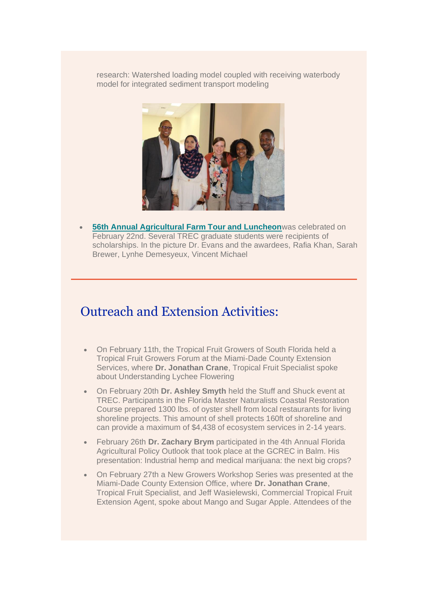research: Watershed loading model coupled with receiving waterbody model for integrated sediment transport modeling



**[56th Annual Agricultural Farm Tour and Luncheon](http://blogs.ifas.ufl.edu/trec/2019/02/27/uf-trec-recognitions-at-the-56th-annual-ag-tour-and-luncheon/)**was celebrated on February 22nd. Several TREC graduate students were recipients of scholarships. In the picture Dr. Evans and the awardees, Rafia Khan, Sarah Brewer, Lynhe Demesyeux, Vincent Michael

#### Outreach and Extension Activities:

- On February 11th, the Tropical Fruit Growers of South Florida held a Tropical Fruit Growers Forum at the Miami-Dade County Extension Services, where **Dr. Jonathan Crane**, Tropical Fruit Specialist spoke about Understanding Lychee Flowering
- On February 20th **Dr. Ashley Smyth** held the Stuff and Shuck event at TREC. Participants in the Florida Master Naturalists Coastal Restoration Course prepared 1300 lbs. of oyster shell from local restaurants for living shoreline projects. This amount of shell protects 160ft of shoreline and can provide a maximum of \$4,438 of ecosystem services in 2-14 years.
- February 26th **Dr. Zachary Brym** participated in the 4th Annual Florida Agricultural Policy Outlook that took place at the GCREC in Balm. His presentation: Industrial hemp and medical marijuana: the next big crops?
- On February 27th a New Growers Workshop Series was presented at the Miami-Dade County Extension Office, where **Dr. Jonathan Crane**, Tropical Fruit Specialist, and Jeff Wasielewski, Commercial Tropical Fruit Extension Agent, spoke about Mango and Sugar Apple. Attendees of the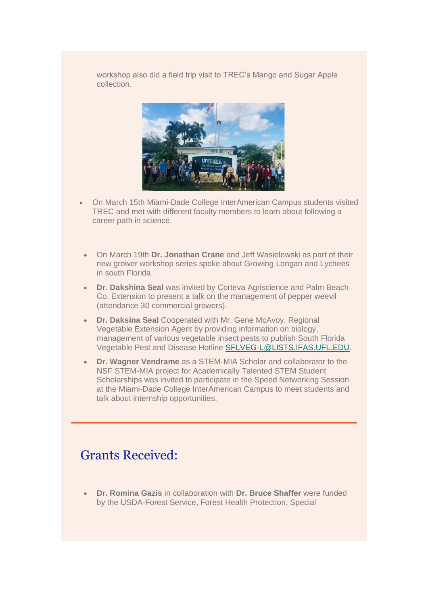workshop also did a field trip visit to TREC's Mango and Sugar Apple collection.



- On March 15th Miami-Dade College InterAmerican Campus students visited TREC and met with different faculty members to learn about following a career path in science.
- On March 19th **Dr. Jonathan Crane** and Jeff Wasielewski as part of their new grower workshop series spoke about Growing Longan and Lychees in south Florida.
- **Dr. Dakshina Seal** was invited by Corteva Agriscience and Palm Beach Co. Extension to present a talk on the management of pepper weevil (attendance 30 commercial growers).
- **Dr. Daksina Seal** Cooperated with Mr. Gene McAvoy, Regional Vegetable Extension Agent by providing information on biology, management of various vegetable insect pests to publish South Florida Vegetable Pest and Disease Hotline [SFLVEG-L@LISTS.IFAS.UFL.EDU.](mailto:SFLVEG-L@LISTS.IFAS.UFL.EDU)
- **Dr. Wagner Vendrame** as a STEM-MIA Scholar and collaborator to the NSF STEM-MIA project for Academically Talented STEM Student Scholarships was invited to participate in the Speed Networking Session at the Miami-Dade College InterAmerican Campus to meet students and talk about internship opportunities.

#### Grants Received:

• **Dr. Romina Gazis** in collaboration with **Dr. Bruce Shaffer** were funded by the USDA-Forest Service, Forest Health Protection, Special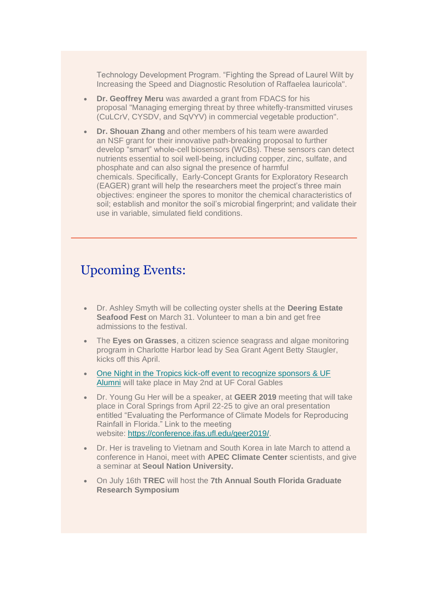Technology Development Program. "Fighting the Spread of Laurel Wilt by Increasing the Speed and Diagnostic Resolution of Raffaelea lauricola".

- **Dr. Geoffrey Meru** was awarded a grant from FDACS for his proposal "Managing emerging threat by three whitefly-transmitted viruses (CuLCrV, CYSDV, and SqVYV) in commercial vegetable production".
- **Dr. Shouan Zhang** and other members of his team were awarded an NSF grant for their innovative path-breaking proposal to further develop "smart" whole-cell biosensors (WCBs). These sensors can detect nutrients essential to soil well-being, including copper, zinc, sulfate, and phosphate and can also signal the presence of harmful chemicals. Specifically, Early-Concept Grants for Exploratory Research (EAGER) grant will help the researchers meet the project's three main objectives: engineer the spores to monitor the chemical characteristics of soil; establish and monitor the soil's microbial fingerprint; and validate their use in variable, simulated field conditions.

#### Upcoming Events:

- Dr. Ashley Smyth will be collecting oyster shells at the **Deering Estate Seafood Fest** on March 31. Volunteer to man a bin and get free admissions to the festival.
- The **Eyes on Grasses**, a citizen science seagrass and algae monitoring program in Charlotte Harbor lead by Sea Grant Agent Betty Staugler, kicks off this April.
- One Night in the Tropics kick-off event to recognize sponsors & UF [Alumni](https://urldefense.proofpoint.com/v2/url?u=https-3A__www.eventbrite.com_e_one-2Dnight-2Din-2Dthe-2Dtropics-2Dkick-2Doff-2Devent-2Dto-2Drecognize-2Dsponsors-2Duf-2Dalumni-2Dtickets-2D59175861595-3Faff-3Deivtefrnd&d=DwMFaQ&c=sJ6xIWYx-zLMB3EPkvcnVg&r=Q74cU8AdCBxFqyeVb-WjVw&m=4PPVZyoEgkigH-k4Nxe-JyzcJwd5o2Ov9JeEKzOy3DU&s=Vl7OtkP3l_lofbS51TopRVSm9OWK-5FUBodDfHkSkqQ&e=) will take place in May 2nd at UF Coral Gables
- Dr. Young Gu Her will be a speaker, at **GEER 2019** meeting that will take place in Coral Springs from April 22-25 to give an oral presentation entitled "Evaluating the Performance of Climate Models for Reproducing Rainfall in Florida." Link to the meeting website: [https://conference.ifas.ufl.edu/geer2019/.](https://conference.ifas.ufl.edu/geer2019/)
- Dr. Her is traveling to Vietnam and South Korea in late March to attend a conference in Hanoi, meet with **APEC Climate Center** scientists, and give a seminar at **Seoul Nation University.**
- On July 16th **TREC** will host the **7th Annual South Florida Graduate Research Symposium**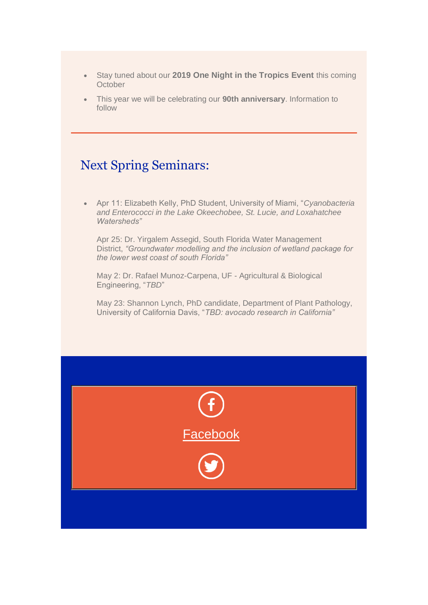- Stay tuned about our **2019 One Night in the Tropics Event** this coming **October**
- This year we will be celebrating our **90th anniversary**. Information to follow

#### Next Spring Seminars:

• Apr 11: Elizabeth Kelly, PhD Student, University of Miami, "*Cyanobacteria and Enterococci in the Lake Okeechobee, St. Lucie, and Loxahatchee Watersheds"*

Apr 25: Dr. Yirgalem Assegid, South Florida Water Management District, *"Groundwater modelling and the inclusion of wetland package for the lower west coast of south Florida"*

May 2: Dr. Rafael Munoz-Carpena, UF - Agricultural & Biological Engineering, "*TBD*"

May 23: Shannon Lynch, PhD candidate, Department of Plant Pathology, University of California Davis, "*TBD: avocado research in California"*